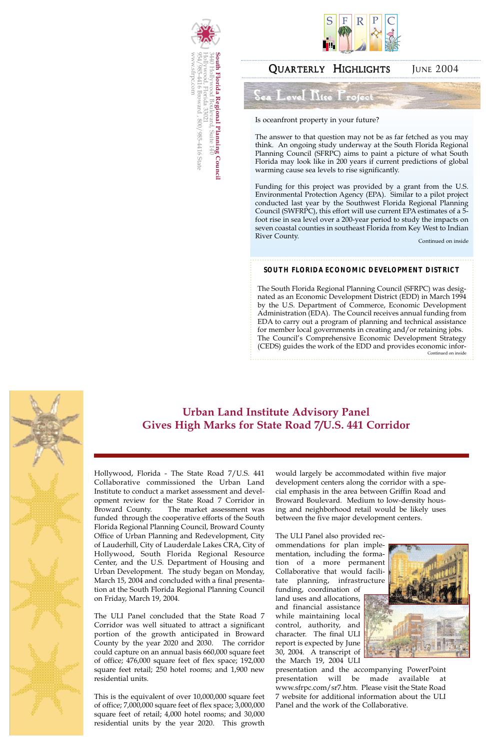## QUARTERLY HIGHLIGHTS JUNE 2004





Is oceanfront property in your future?

The answer to that question may not be as far fetched as you may think. An ongoing study underway at the South Florida Regional Planning Council (SFRPC) aims to paint a picture of what South Florida may look like in 200 years if current predictions of global warming cause sea levels to rise significantly.

Funding for this project was provided by a grant from the U.S. Environmental Protection Agency (EPA). Similar to a pilot project conducted last year by the Southwest Florida Regional Planning Council (SWFRPC), this effort will use current EPA estimates of a 5 foot rise in sea level over a 200-year period to study the impacts on seven coastal counties in southeast Florida from Key West to Indian River County.

#### **SOUTH FLORIDA ECONOMIC DEVELOPMENT DISTRICT**

The South Florida Regional Planning Council (SFRPC) was designated as an Economic Development District (EDD) in March 1994 by the U.S. Department of Commerce, Economic Development Administration (EDA). The Council receives annual funding from EDA to carry out a program of planning and technical assistance for member local governments in creating and/or retaining jobs. The Council's Comprehensive Economic Development Strategy (CEDS) guides the work of the EDD and provides economic infor-Continued on inside



Continued on inside

# **Urban Land Institute Advisory Panel Gives High Marks for State Road 7/U.S. 441 Corridor**

Hollywood, Florida - The State Road 7/U.S. 441 Collaborative commissioned the Urban Land Institute to conduct a market assessment and development review for the State Road 7 Corridor in Broward County. The market assessment was funded through the cooperative efforts of the South Florida Regional Planning Council, Broward County Office of Urban Planning and Redevelopment, City of Lauderhill, City of Lauderdale Lakes CRA, City of Hollywood, South Florida Regional Resource Center, and the U.S. Department of Housing and Urban Development. The study began on Monday, March 15, 2004 and concluded with a final presentation at the South Florida Regional Planning Council on Friday, March 19, 2004.

The ULI Panel concluded that the State Road 7 Corridor was well situated to attract a significant portion of the growth anticipated in Broward County by the year 2020 and 2030. The corridor could capture on an annual basis 660,000 square feet of office; 476,000 square feet of flex space; 192,000 square feet retail; 250 hotel rooms; and 1,900 new residential units.

This is the equivalent of over 10,000,000 square feet of office; 7,000,000 square feet of flex space; 3,000,000 square feet of retail; 4,000 hotel rooms; and 30,000 residential units by the year 2020. This growth would largely be accommodated within five major development centers along the corridor with a special emphasis in the area between Griffin Road and Broward Boulevard. Medium to low-density housing and neighborhood retail would be likely uses between the five major development centers.

The ULI Panel also provided recommendations for plan implementation, including the formation of a more permanent Collaborative that would facilitate planning, infrastructure funding, coordination of land uses and allocations, and financial assistance while maintaining local control, authority, and character. The final ULI report is expected by June 30, 2004. A transcript of the March 19, 2004 ULI





presentation and the accompanying PowerPoint presentation will be made available at www.sfrpc.com/sr7.htm. Please visit the State Road 7 website for additional information about the ULI Panel and the work of the Collaborative.

Sea Level Rise Project